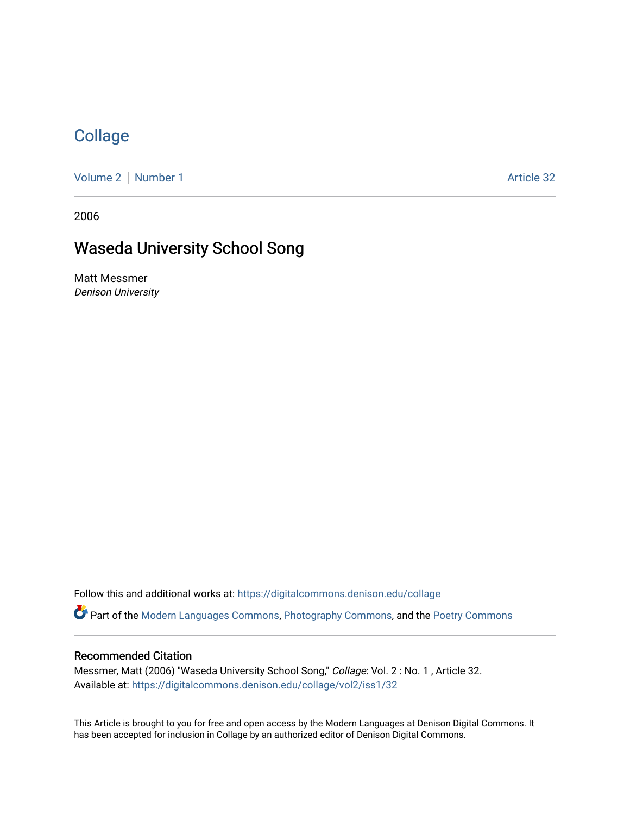## **[Collage](https://digitalcommons.denison.edu/collage)**

[Volume 2](https://digitalcommons.denison.edu/collage/vol2) | [Number 1](https://digitalcommons.denison.edu/collage/vol2/iss1) Article 32

2006

# Waseda University School Song

Matt Messmer Denison University

Follow this and additional works at: [https://digitalcommons.denison.edu/collage](https://digitalcommons.denison.edu/collage?utm_source=digitalcommons.denison.edu%2Fcollage%2Fvol2%2Fiss1%2F32&utm_medium=PDF&utm_campaign=PDFCoverPages)  Part of the [Modern Languages Commons,](http://network.bepress.com/hgg/discipline/1130?utm_source=digitalcommons.denison.edu%2Fcollage%2Fvol2%2Fiss1%2F32&utm_medium=PDF&utm_campaign=PDFCoverPages) [Photography Commons](http://network.bepress.com/hgg/discipline/1142?utm_source=digitalcommons.denison.edu%2Fcollage%2Fvol2%2Fiss1%2F32&utm_medium=PDF&utm_campaign=PDFCoverPages), and the [Poetry Commons](http://network.bepress.com/hgg/discipline/1153?utm_source=digitalcommons.denison.edu%2Fcollage%2Fvol2%2Fiss1%2F32&utm_medium=PDF&utm_campaign=PDFCoverPages)

#### Recommended Citation

Messmer, Matt (2006) "Waseda University School Song," Collage: Vol. 2 : No. 1 , Article 32. Available at: [https://digitalcommons.denison.edu/collage/vol2/iss1/32](https://digitalcommons.denison.edu/collage/vol2/iss1/32?utm_source=digitalcommons.denison.edu%2Fcollage%2Fvol2%2Fiss1%2F32&utm_medium=PDF&utm_campaign=PDFCoverPages)

This Article is brought to you for free and open access by the Modern Languages at Denison Digital Commons. It has been accepted for inclusion in Collage by an authorized editor of Denison Digital Commons.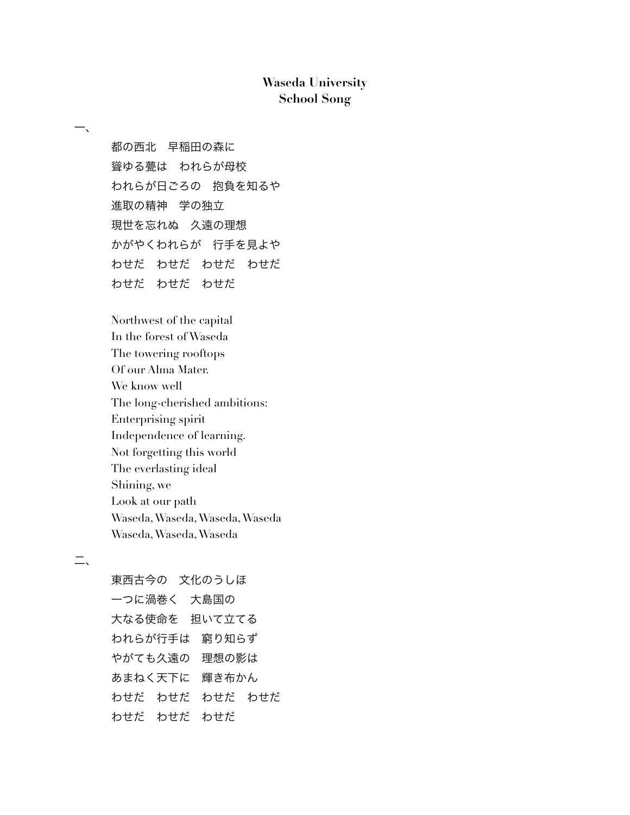### **Waseda University School Song**

都の西北 早稲田の森に 聳ゆる甍は われらが母校 われらが日ごろの 抱負を知るや 進取の精神 学の独立 現世を忘れぬ 久遠の理想 かがやくわれらが 行手を見よや わせだ わせだ わせだ わせだ わせだ わせだ わせだ

Northwest of the capital In the forest of Waseda The towering rooftops Of our Alma Mater. We know well The long-cherished ambitions: Enterprising spirit Independence of learning. Not forgetting this world The everlasting ideal Shining, we Look at our path Waseda,Waseda,Waseda,Waseda Waseda,Waseda,Waseda

### 二、

一、

東西古今の 文化のうしほ 一つに渦巻く 大島国の 大なる使命を 担いて立てる われらが行手は 窮り知らず やがても久遠の 理想の影は あまねく天下に 輝き布かん わせだ わせだ わせだ わせだ わせだ わせだ わせだ